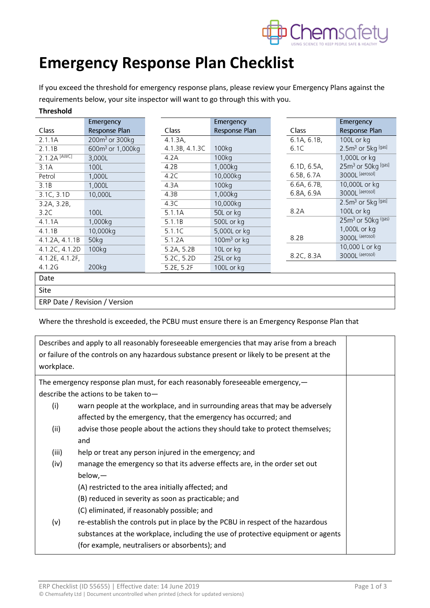

## **Emergency Response Plan Checklist**

If you exceed the threshold for emergency response plans, please review your Emergency Plans against the requirements below, your site inspector will want to go through this with you. **Threshold**

|                           | Emergency                    |                | Emergency      |             | Emergency                      |
|---------------------------|------------------------------|----------------|----------------|-------------|--------------------------------|
| Class                     | Response Plan                | <b>Class</b>   | Response Plan  | Class       | Response Plan                  |
| 2.1.1A                    | $200m3$ or 300kg             | 4.1.3A,        |                | 6.1A, 6.1B, | 100L or kg                     |
| 2.1.1B                    | 600m <sup>3</sup> or 1,000kg | 4.1.3B, 4.1.3C | 100kg          | 6.1C        | 2.5m <sup>3</sup> or 5kg [gas] |
| $2.1.2A$ <sup>[AWC]</sup> | 3,000L                       | 4.2A           | 100kg          |             | 1,000L or kg                   |
| 3.1A                      | 100L                         | 4.2B           | 1,000kg        | 6.1D, 6.5A, | 25m <sup>3</sup> or 50kg [gas] |
| Petrol                    | 1,000L                       | 4.2C           | 10,000kg       | 6.5B, 6.7A  | 3000L [aerosol]                |
| 3.1B                      | 1,000L                       | 4.3A           | 100kg          | 6.6A, 6.7B, | 10,000L or kg                  |
| $3.1C, 3.\overline{1D}$   | 10,000L                      | 4.3B           | 1,000kg        | 6.8A, 6.9A  | 3000L [aerosol]                |
| 3.2A, 3.2B,               |                              | 4.3C           | 10,000kg       |             | $2.5m3$ or 5kg [gas]           |
| 3.2C                      | 100L                         | 5.1.1A         | 50L or kg      | 8.2A        | 100L or kg                     |
| 4.1.1A                    | 1,000kg                      | 5.1.1B         | 500L or kg     |             | 25m <sup>3</sup> or 50kg (gas) |
| 4.1.1B                    | 10,000kg                     | 5.1.1C         | 5,000L or kg   |             | 1,000L or kg                   |
| 4.1.2A, 4.1.1B            | 50kg                         | 5.1.2A         | $100m^3$ or kg | 8.2B        | 3000L (aerosol)                |
| 4.1.2C, 4.1.2D            | 100kg                        | 5.2A, 5.2B     | 10L or kg      |             | 10,000 L or kg                 |
| 4.1.2E, 4.1.2F,           |                              | 5.2C, 5.2D     | 25L or kg      | 8.2C, 8.3A  | 3000L (aerosol)                |
| 4.1.2G                    | 200kg                        | 5.2E, 5.2F     | 100L or kg     |             |                                |
| Date                      |                              |                |                |             |                                |
| Site                      |                              |                |                |             |                                |

ERP Date / Revision / Version

Where the threshold is exceeded, the PCBU must ensure there is an Emergency Response Plan that

| Describes and apply to all reasonably foreseeable emergencies that may arise from a breach<br>or failure of the controls on any hazardous substance present or likely to be present at the<br>workplace. |                                                                                  |  |  |  |  |
|----------------------------------------------------------------------------------------------------------------------------------------------------------------------------------------------------------|----------------------------------------------------------------------------------|--|--|--|--|
| The emergency response plan must, for each reasonably foreseeable emergency,—                                                                                                                            |                                                                                  |  |  |  |  |
| describe the actions to be taken to $-$                                                                                                                                                                  |                                                                                  |  |  |  |  |
| (i)                                                                                                                                                                                                      | warn people at the workplace, and in surrounding areas that may be adversely     |  |  |  |  |
|                                                                                                                                                                                                          | affected by the emergency, that the emergency has occurred; and                  |  |  |  |  |
| (ii)                                                                                                                                                                                                     | advise those people about the actions they should take to protect themselves;    |  |  |  |  |
|                                                                                                                                                                                                          | and                                                                              |  |  |  |  |
| (iii)                                                                                                                                                                                                    | help or treat any person injured in the emergency; and                           |  |  |  |  |
| (iv)                                                                                                                                                                                                     | manage the emergency so that its adverse effects are, in the order set out       |  |  |  |  |
|                                                                                                                                                                                                          | $below, -$                                                                       |  |  |  |  |
|                                                                                                                                                                                                          | (A) restricted to the area initially affected; and                               |  |  |  |  |
|                                                                                                                                                                                                          | (B) reduced in severity as soon as practicable; and                              |  |  |  |  |
|                                                                                                                                                                                                          | (C) eliminated, if reasonably possible; and                                      |  |  |  |  |
| (v)                                                                                                                                                                                                      | re-establish the controls put in place by the PCBU in respect of the hazardous   |  |  |  |  |
|                                                                                                                                                                                                          | substances at the workplace, including the use of protective equipment or agents |  |  |  |  |
|                                                                                                                                                                                                          | (for example, neutralisers or absorbents); and                                   |  |  |  |  |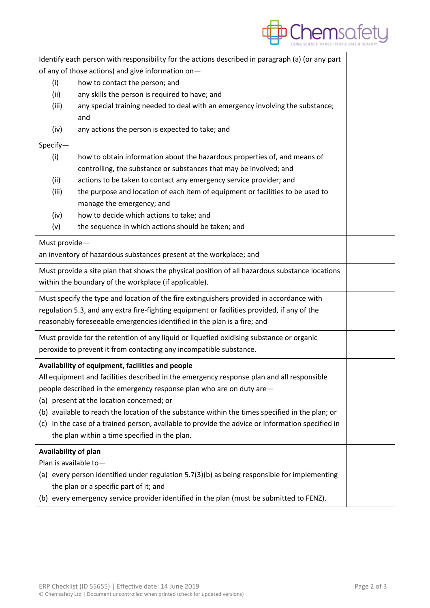

| Identify each person with responsibility for the actions described in paragraph (a) (or any part |                                                                                                  |                                                                                                |  |  |  |  |  |
|--------------------------------------------------------------------------------------------------|--------------------------------------------------------------------------------------------------|------------------------------------------------------------------------------------------------|--|--|--|--|--|
|                                                                                                  |                                                                                                  | of any of those actions) and give information on-                                              |  |  |  |  |  |
|                                                                                                  | (i)                                                                                              | how to contact the person; and                                                                 |  |  |  |  |  |
|                                                                                                  | (ii)                                                                                             | any skills the person is required to have; and                                                 |  |  |  |  |  |
|                                                                                                  | (iii)                                                                                            | any special training needed to deal with an emergency involving the substance;<br>and          |  |  |  |  |  |
|                                                                                                  | (iv)                                                                                             | any actions the person is expected to take; and                                                |  |  |  |  |  |
|                                                                                                  | Specify-                                                                                         |                                                                                                |  |  |  |  |  |
|                                                                                                  | (i)                                                                                              | how to obtain information about the hazardous properties of, and means of                      |  |  |  |  |  |
|                                                                                                  |                                                                                                  | controlling, the substance or substances that may be involved; and                             |  |  |  |  |  |
|                                                                                                  | (ii)                                                                                             | actions to be taken to contact any emergency service provider; and                             |  |  |  |  |  |
|                                                                                                  | (iii)                                                                                            | the purpose and location of each item of equipment or facilities to be used to                 |  |  |  |  |  |
|                                                                                                  |                                                                                                  | manage the emergency; and                                                                      |  |  |  |  |  |
|                                                                                                  | (iv)                                                                                             | how to decide which actions to take; and                                                       |  |  |  |  |  |
|                                                                                                  | (v)                                                                                              | the sequence in which actions should be taken; and                                             |  |  |  |  |  |
|                                                                                                  | Must provide-                                                                                    |                                                                                                |  |  |  |  |  |
|                                                                                                  |                                                                                                  | an inventory of hazardous substances present at the workplace; and                             |  |  |  |  |  |
|                                                                                                  |                                                                                                  | Must provide a site plan that shows the physical position of all hazardous substance locations |  |  |  |  |  |
|                                                                                                  |                                                                                                  | within the boundary of the workplace (if applicable).                                          |  |  |  |  |  |
| Must specify the type and location of the fire extinguishers provided in accordance with         |                                                                                                  |                                                                                                |  |  |  |  |  |
|                                                                                                  | regulation 5.3, and any extra fire-fighting equipment or facilities provided, if any of the      |                                                                                                |  |  |  |  |  |
|                                                                                                  |                                                                                                  | reasonably foreseeable emergencies identified in the plan is a fire; and                       |  |  |  |  |  |
| Must provide for the retention of any liquid or liquefied oxidising substance or organic         |                                                                                                  |                                                                                                |  |  |  |  |  |
| peroxide to prevent it from contacting any incompatible substance.                               |                                                                                                  |                                                                                                |  |  |  |  |  |
|                                                                                                  |                                                                                                  | Availability of equipment, facilities and people                                               |  |  |  |  |  |
|                                                                                                  |                                                                                                  | All equipment and facilities described in the emergency response plan and all responsible      |  |  |  |  |  |
|                                                                                                  | people described in the emergency response plan who are on duty are-                             |                                                                                                |  |  |  |  |  |
|                                                                                                  | (a) present at the location concerned; or                                                        |                                                                                                |  |  |  |  |  |
| (b) available to reach the location of the substance within the times specified in the plan; or  |                                                                                                  |                                                                                                |  |  |  |  |  |
|                                                                                                  | (c) in the case of a trained person, available to provide the advice or information specified in |                                                                                                |  |  |  |  |  |
|                                                                                                  |                                                                                                  | the plan within a time specified in the plan.                                                  |  |  |  |  |  |
|                                                                                                  |                                                                                                  | Availability of plan                                                                           |  |  |  |  |  |
|                                                                                                  |                                                                                                  | Plan is available to-                                                                          |  |  |  |  |  |
| (a) every person identified under regulation 5.7(3)(b) as being responsible for implementing     |                                                                                                  |                                                                                                |  |  |  |  |  |
| the plan or a specific part of it; and                                                           |                                                                                                  |                                                                                                |  |  |  |  |  |
| (b) every emergency service provider identified in the plan (must be submitted to FENZ).         |                                                                                                  |                                                                                                |  |  |  |  |  |